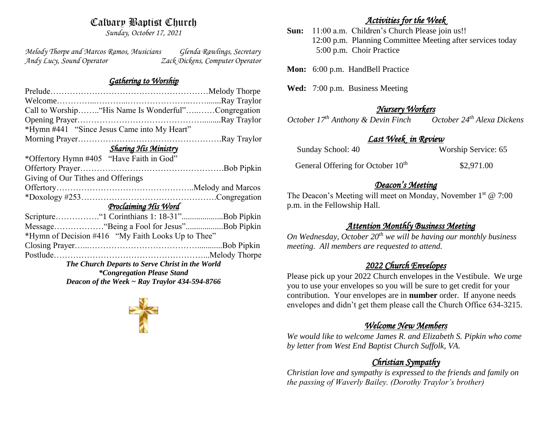# Calvary Baptist Church

*Sunday, October 17, 2021*

*Melody Thorpe and Marcos Ramos, Musicians Glenda Rawlings, Secretary Andy Lucy, Sound Operator Zack Dickens, Computer Operator* 

## *Gathering to Worship*

| Call to Worship "His Name Is Wonderful"Congregation |  |  |  |
|-----------------------------------------------------|--|--|--|
|                                                     |  |  |  |
|                                                     |  |  |  |
|                                                     |  |  |  |
| <b>Sharing His Ministry</b>                         |  |  |  |
|                                                     |  |  |  |
|                                                     |  |  |  |
| Giving of Our Tithes and Offerings                  |  |  |  |
|                                                     |  |  |  |
|                                                     |  |  |  |
|                                                     |  |  |  |
|                                                     |  |  |  |
|                                                     |  |  |  |
| Message "Being a Fool for Jesus"Bob Pipkin          |  |  |  |
| *Hymn of Decision #416 "My Faith Looks Up to Thee"  |  |  |  |
|                                                     |  |  |  |
|                                                     |  |  |  |
| The Church Departs to Serve Christ in the World     |  |  |  |
| Deacon of the Week $\sim$ Ray Traylor 434-594-8766  |  |  |  |
|                                                     |  |  |  |

## *Activities for the Week*

**Sun:** 11:00 a.m. Children's Church Please join us!! 12:00 p.m. Planning Committee Meeting after services today 5:00 p.m. Choir Practice

Mon: 6:00 p.m. HandBell Practice

**Wed:** 7:00 p.m. Business Meeting

*Nursery Workers October 17<sup>th</sup> Anthony & Devin Finch* 

# *Last Week in Review*

| Sunday School: 40                             | Worship Service: 65 |
|-----------------------------------------------|---------------------|
| General Offering for October 10 <sup>th</sup> | \$2,971.00          |

# *Deacon's Meeting*

The Deacon's Meeting will meet on Monday, November 1<sup>st</sup> @ 7:00 p.m. in the Fellowship Hall.

# *Attention Monthly Business Meeting*

*On Wednesday, October 20th we will be having our monthly business meeting. All members are requested to attend.* 

# *2022 Church Envelopes*

Please pick up your 2022 Church envelopes in the Vestibule. We urge you to use your envelopes so you will be sure to get credit for your contribution. Your envelopes are in **number** order.If anyone needs envelopes and didn't get them please call the Church Office 634-3215.

# *Welcome New Members*

*We would like to welcome James R. and Elizabeth S. Pipkin who come by letter from West End Baptist Church Suffolk, VA.*

# *Christian Sympathy*

*Christian love and sympathy is expressed to the friends and family on the passing of Waverly Bailey. (Dorothy Traylor's brother)*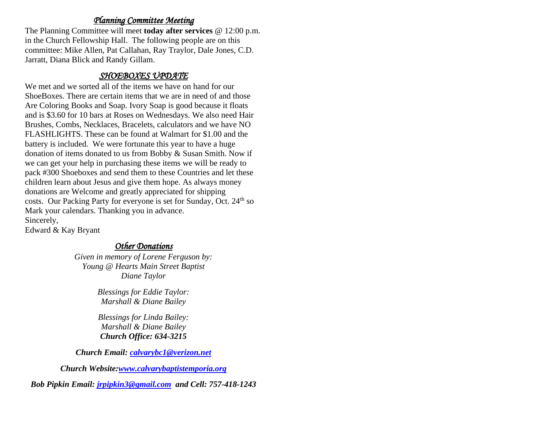## *Planning Committee Meeting*

The Planning Committee will meet **today after services** @ 12:00 p.m. in the Church Fellowship Hall. The following people are on this committee: Mike Allen, Pat Callahan, Ray Traylor, Dale Jones, C.D. Jarratt, Diana Blick and Randy Gillam.

## *SHOEBOXES UPDATE*

We met and we sorted all of the items we have on hand for our ShoeBoxes. There are certain items that we are in need of and those Are Coloring Books and Soap. Ivory Soap is good because it floats and is \$3.60 for 10 bars at Roses on Wednesdays. We also need Hair Brushes, Combs, Necklaces, Bracelets, calculators and we have NO FLASHLIGHTS. These can be found at Walmart for \$1.00 and the battery is included. We were fortunate this year to have a huge donation of items donated to us from Bobby & Susan Smith. Now if we can get your help in purchasing these items we will be ready to pack #300 Shoeboxes and send them to these Countries and let these children learn about Jesus and give them hope. As always money donations are Welcome and greatly appreciated for shipping costs. Our Packing Party for everyone is set for Sunday, Oct. 24<sup>th</sup> so Mark your calendars. Thanking you in advance. Sincerely, Edward & Kay Bryant

## *Other Donations*

*Given in memory of Lorene Ferguson by: Young @ Hearts Main Street Baptist Diane Taylor*

> *Blessings for Eddie Taylor: Marshall & Diane Bailey*

> *Blessings for Linda Bailey: Marshall & Diane Bailey Church Office: 634-3215*

*Church Email: [calvarybc1@verizon.net](mailto:cbcemporiaoffice@gmail.com)*

*Church Website[:www.calvarybaptistemporia.org](http://www.calvarybaptistemporia.org/)*

*Bob Pipkin Email: [jrpipkin3@gmail.com](mailto:jrpipkin3@gmail.com) and Cell: 757-418-1243*